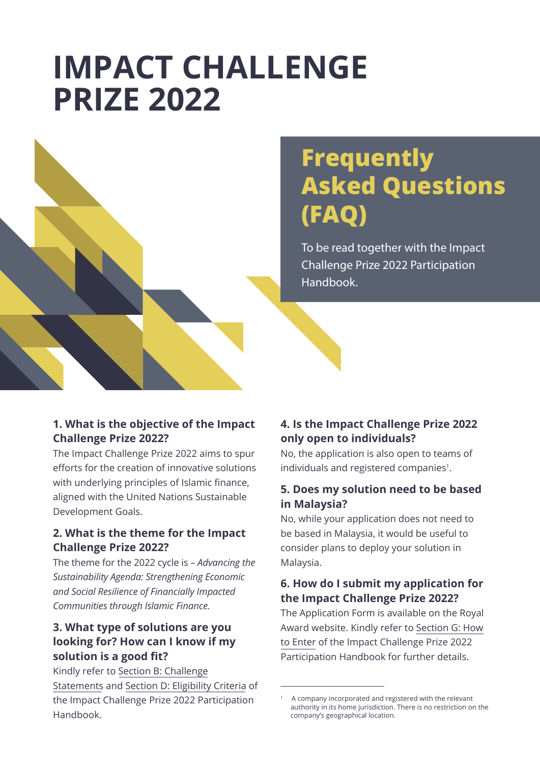# **IMPACT CHALLENGE PRIZE 2022**



# **Frequently Asked Questions (FAQ)**

To be read together with the Impact Challenge Prize 2022 Participation Handbook.

#### **1. What is the objective of the Impact Challenge Prize 2022?**

The Impact Challenge Prize 2022 aims to spur efforts for the creation of innovative solutions with underlying principles of Islamic finance, aligned with the United Nations Sustainable Development Goals.

## **2. What is the theme for the Impact Challenge Prize 2022?**

The theme for the 2022 cycle is – *Advancing the Sustainability Agenda: Strengthening Economic and Social Resilience of Financially Impacted Communities through Islamic Finance.*

# **3. What type of solutions are you looking for? How can I know if my solution is a good fit?**

Kindly refer to Section B: Challenge Statements and Section D: Eligibility Criteria of the Impact Challenge Prize 2022 Participation Handbook.

# **4. Is the Impact Challenge Prize 2022 only open to individuals?**

No, the application is also open to teams of individuals and registered companies<sup>1</sup>.

# **5. Does my solution need to be based in Malaysia?**

No, while your application does not need to be based in Malaysia, it would be useful to consider plans to deploy your solution in Malaysia.

## **6. How do I submit my application for the Impact Challenge Prize 2022?**

The Application Form is available on the Royal Award website. Kindly refer to Section G: How to Enter of the Impact Challenge Prize 2022 Participation Handbook for further details.

<sup>1</sup> A company incorporated and registered with the relevant authority in its home jurisdiction. There is no restriction on the company's geographical location.